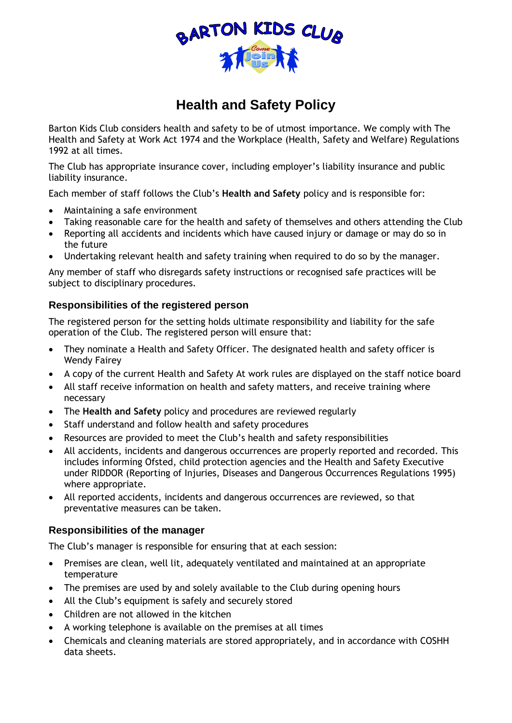

# **Health and Safety Policy**

Barton Kids Club considers health and safety to be of utmost importance. We comply with The Health and Safety at Work Act 1974 and the Workplace (Health, Safety and Welfare) Regulations 1992 at all times.

The Club has appropriate insurance cover, including employer's liability insurance and public liability insurance.

Each member of staff follows the Club's **Health and Safety** policy and is responsible for:

- Maintaining a safe environment
- Taking reasonable care for the health and safety of themselves and others attending the Club
- Reporting all accidents and incidents which have caused injury or damage or may do so in the future
- Undertaking relevant health and safety training when required to do so by the manager.

Any member of staff who disregards safety instructions or recognised safe practices will be subject to disciplinary procedures.

## **Responsibilities of the registered person**

The registered person for the setting holds ultimate responsibility and liability for the safe operation of the Club. The registered person will ensure that:

- They nominate a Health and Safety Officer. The designated health and safety officer is Wendy Fairey
- A copy of the current Health and Safety At work rules are displayed on the staff notice board
- All staff receive information on health and safety matters, and receive training where necessary
- The **Health and Safety** policy and procedures are reviewed regularly
- Staff understand and follow health and safety procedures
- Resources are provided to meet the Club's health and safety responsibilities
- All accidents, incidents and dangerous occurrences are properly reported and recorded. This includes informing Ofsted, child protection agencies and the Health and Safety Executive under RIDDOR (Reporting of Injuries, Diseases and Dangerous Occurrences Regulations 1995) where appropriate.
- All reported accidents, incidents and dangerous occurrences are reviewed, so that preventative measures can be taken.

## **Responsibilities of the manager**

The Club's manager is responsible for ensuring that at each session:

- Premises are clean, well lit, adequately ventilated and maintained at an appropriate temperature
- The premises are used by and solely available to the Club during opening hours
- All the Club's equipment is safely and securely stored
- Children are not allowed in the kitchen
- A working telephone is available on the premises at all times
- Chemicals and cleaning materials are stored appropriately, and in accordance with COSHH data sheets.